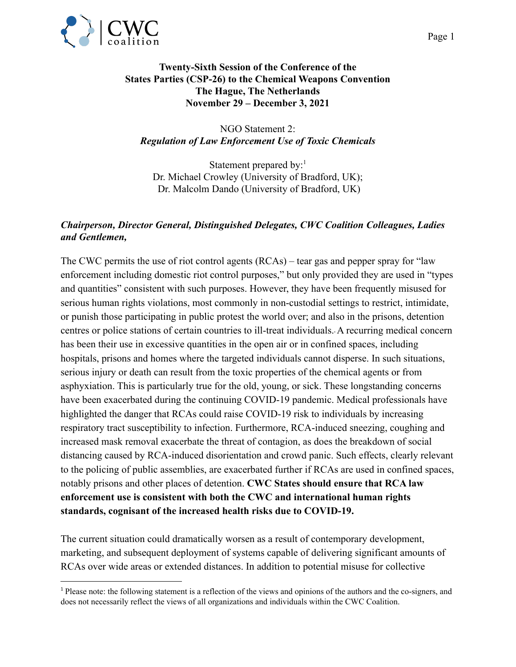

## **Twenty-Sixth Session of the Conference of the States Parties (CSP-26) to the Chemical Weapons Convention The Hague, The Netherlands November 29 – December 3, 2021**

NGO Statement 2: *Regulation of Law Enforcement Use of Toxic Chemicals*

Statement prepared by: $<sup>1</sup>$ </sup> Dr. Michael Crowley (University of Bradford, UK); Dr. Malcolm Dando (University of Bradford, UK)

## *Chairperson, Director General, Distinguished Delegates, CWC Coalition Colleagues, Ladies and Gentlemen,*

The CWC permits the use of riot control agents (RCAs) – tear gas and pepper spray for "law enforcement including domestic riot control purposes," but only provided they are used in "types and quantities" consistent with such purposes. However, they have been frequently misused for serious human rights violations, most commonly in non-custodial settings to restrict, intimidate, or punish those participating in public protest the world over; and also in the prisons, detention centres or police stations of certain countries to ill-treat individuals. A recurring medical concern has been their use in excessive quantities in the open air or in confined spaces, including hospitals, prisons and homes where the targeted individuals cannot disperse. In such situations, serious injury or death can result from the toxic properties of the chemical agents or from asphyxiation. This is particularly true for the old, young, or sick. These longstanding concerns have been exacerbated during the continuing COVID-19 pandemic. Medical professionals have highlighted the danger that RCAs could raise COVID-19 risk to individuals by increasing respiratory tract susceptibility to infection. Furthermore, RCA-induced sneezing, coughing and increased mask removal exacerbate the threat of contagion, as does the breakdown of social distancing caused by RCA-induced disorientation and crowd panic. Such effects, clearly relevant to the policing of public assemblies, are exacerbated further if RCAs are used in confined spaces, notably prisons and other places of detention. **CWC States should ensure that RCA law enforcement use is consistent with both the CWC and international human rights standards, cognisant of the increased health risks due to COVID-19.**

The current situation could dramatically worsen as a result of contemporary development, marketing, and subsequent deployment of systems capable of delivering significant amounts of RCAs over wide areas or extended distances. In addition to potential misuse for collective

<sup>1</sup> Please note: the following statement is a reflection of the views and opinions of the authors and the co-signers, and does not necessarily reflect the views of all organizations and individuals within the CWC Coalition.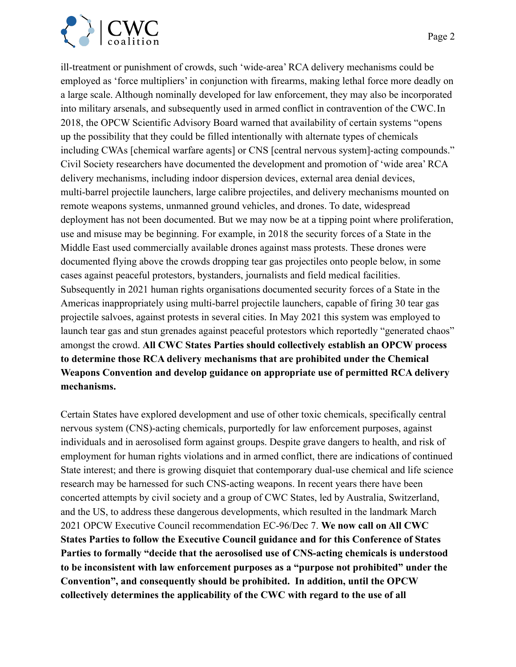

ill-treatment or punishment of crowds, such 'wide-area' RCA delivery mechanisms could be employed as 'force multipliers' in conjunction with firearms, making lethal force more deadly on a large scale. Although nominally developed for law enforcement, they may also be incorporated into military arsenals, and subsequently used in armed conflict in contravention of the CWC.In 2018, the OPCW Scientific Advisory Board warned that availability of certain systems "opens up the possibility that they could be filled intentionally with alternate types of chemicals including CWAs [chemical warfare agents] or CNS [central nervous system]-acting compounds." Civil Society researchers have documented the development and promotion of 'wide area' RCA delivery mechanisms, including indoor dispersion devices, external area denial devices, multi-barrel projectile launchers, large calibre projectiles, and delivery mechanisms mounted on remote weapons systems, unmanned ground vehicles, and drones. To date, widespread deployment has not been documented. But we may now be at a tipping point where proliferation, use and misuse may be beginning. For example, in 2018 the security forces of a State in the Middle East used commercially available drones against mass protests. These drones were documented flying above the crowds dropping tear gas projectiles onto people below, in some cases against peaceful protestors, bystanders, journalists and field medical facilities. Subsequently in 2021 human rights organisations documented security forces of a State in the Americas inappropriately using multi-barrel projectile launchers, capable of firing 30 tear gas projectile salvoes, against protests in several cities. In May 2021 this system was employed to launch tear gas and stun grenades against peaceful protestors which reportedly "generated chaos" amongst the crowd. **All CWC States Parties should collectively establish an OPCW process to determine those RCA delivery mechanisms that are prohibited under the Chemical Weapons Convention and develop guidance on appropriate use of permitted RCA delivery mechanisms.**

Certain States have explored development and use of other toxic chemicals, specifically central nervous system (CNS)-acting chemicals, purportedly for law enforcement purposes, against individuals and in aerosolised form against groups. Despite grave dangers to health, and risk of employment for human rights violations and in armed conflict, there are indications of continued State interest; and there is growing disquiet that contemporary dual-use chemical and life science research may be harnessed for such CNS-acting weapons. In recent years there have been concerted attempts by civil society and a group of CWC States, led by Australia, Switzerland, and the US, to address these dangerous developments, which resulted in the landmark March 2021 OPCW Executive Council recommendation EC-96/Dec 7. **We now call on All CWC States Parties to follow the Executive Council guidance and for this Conference of States Parties to formally "decide that the aerosolised use of CNS-acting chemicals is understood to be inconsistent with law enforcement purposes as a "purpose not prohibited" under the Convention", and consequently should be prohibited. In addition, until the OPCW collectively determines the applicability of the CWC with regard to the use of all**